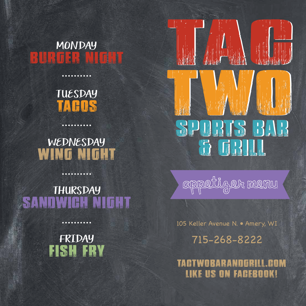BURGER NIGHT MONDAY

> TA COS TUESDAY

 $$ 

WING NIGHT WEDNESDAY

SANDWICH NIGHT **THURSDAY** 

. . . . . . . . . .

FISH FRY FRIDAY

. . . . . . . .





105 Keller Avenue N. • Amery, WI

715-268-8222

TACTWOBARANDGRILL.COM LIKE US ON FACEBOOK!